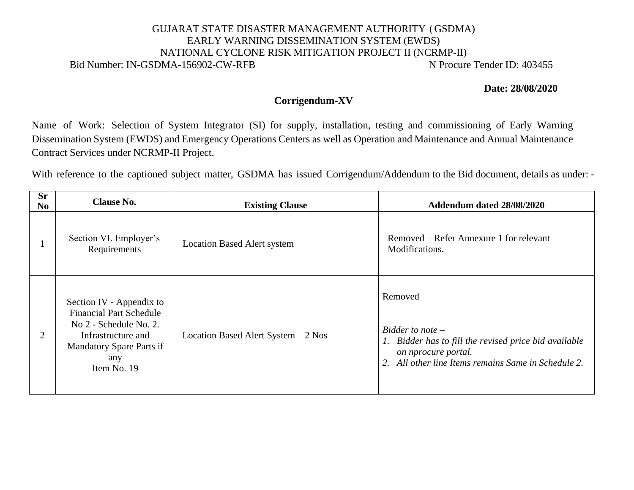## GUJARAT STATE DISASTER MANAGEMENT AUTHORITY (GSDMA) EARLY WARNING DISSEMINATION SYSTEM (EWDS) NATIONAL CYCLONE RISK MITIGATION PROJECT II (NCRMP-II) Bid Number: IN-GSDMA-156902-CW-RFB N Procure Tender ID: 403455

**Date: 28/08/2020**

## **Corrigendum-XV**

Name of Work: Selection of System Integrator (SI) for supply, installation, testing and commissioning of Early Warning Dissemination System (EWDS) and Emergency Operations Centers as well as Operation and Maintenance and Annual Maintenance Contract Services under NCRMP-II Project.

With reference to the captioned subject matter, GSDMA has issued Corrigendum/Addendum to the Bid document, details as under: -

| <b>Sr</b><br>N <sub>0</sub> | <b>Clause No.</b>                                                                                                                                                   | <b>Existing Clause</b>               | Addendum dated 28/08/2020                                                                                                                                                       |
|-----------------------------|---------------------------------------------------------------------------------------------------------------------------------------------------------------------|--------------------------------------|---------------------------------------------------------------------------------------------------------------------------------------------------------------------------------|
|                             | Section VI. Employer's<br>Requirements                                                                                                                              | <b>Location Based Alert system</b>   | Removed – Refer Annexure 1 for relevant<br>Modifications.                                                                                                                       |
| 2                           | Section IV - Appendix to<br><b>Financial Part Schedule</b><br>No 2 - Schedule No. 2.<br>Infrastructure and<br><b>Mandatory Spare Parts if</b><br>any<br>Item No. 19 | Location Based Alert System $-2$ Nos | Removed<br>Bidder to note $-$<br>Bidder has to fill the revised price bid available<br>$\Gamma$ .<br>on nprocure portal.<br>2. All other line Items remains Same in Schedule 2. |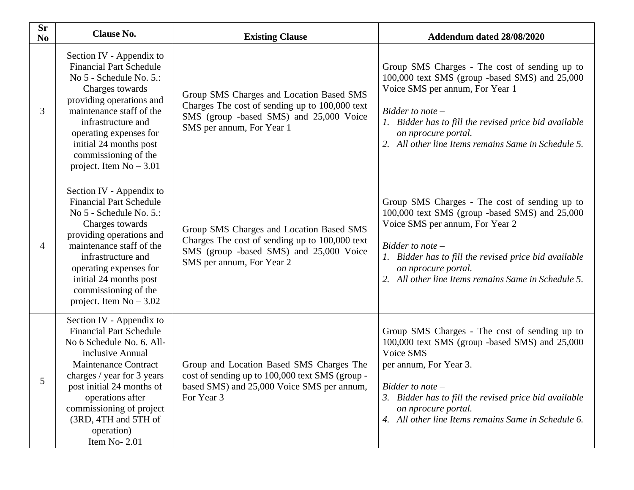| <b>Sr</b><br>N <sub>0</sub> | <b>Clause No.</b>                                                                                                                                                                                                                                                                                        | <b>Existing Clause</b>                                                                                                                                             | Addendum dated 28/08/2020                                                                                                                                                                                                                                                                           |
|-----------------------------|----------------------------------------------------------------------------------------------------------------------------------------------------------------------------------------------------------------------------------------------------------------------------------------------------------|--------------------------------------------------------------------------------------------------------------------------------------------------------------------|-----------------------------------------------------------------------------------------------------------------------------------------------------------------------------------------------------------------------------------------------------------------------------------------------------|
| 3                           | Section IV - Appendix to<br><b>Financial Part Schedule</b><br>No 5 - Schedule No. 5.:<br>Charges towards<br>providing operations and<br>maintenance staff of the<br>infrastructure and<br>operating expenses for<br>initial 24 months post<br>commissioning of the<br>project. Item $No - 3.01$          | Group SMS Charges and Location Based SMS<br>Charges The cost of sending up to 100,000 text<br>SMS (group -based SMS) and 25,000 Voice<br>SMS per annum, For Year 1 | Group SMS Charges - The cost of sending up to<br>100,000 text SMS (group -based SMS) and 25,000<br>Voice SMS per annum, For Year 1<br>$Bidder$ to note $-$<br>1. Bidder has to fill the revised price bid available<br>on nprocure portal.<br>2. All other line Items remains Same in Schedule 5.   |
| 4                           | Section IV - Appendix to<br><b>Financial Part Schedule</b><br>No 5 - Schedule No. 5.:<br>Charges towards<br>providing operations and<br>maintenance staff of the<br>infrastructure and<br>operating expenses for<br>initial 24 months post<br>commissioning of the<br>project. Item $No - 3.02$          | Group SMS Charges and Location Based SMS<br>Charges The cost of sending up to 100,000 text<br>SMS (group -based SMS) and 25,000 Voice<br>SMS per annum, For Year 2 | Group SMS Charges - The cost of sending up to<br>100,000 text SMS (group -based SMS) and 25,000<br>Voice SMS per annum, For Year 2<br>Bidder to note $-$<br>1. Bidder has to fill the revised price bid available<br>on nprocure portal.<br>2. All other line Items remains Same in Schedule 5.     |
|                             | Section IV - Appendix to<br><b>Financial Part Schedule</b><br>No 6 Schedule No. 6. All-<br>inclusive Annual<br>Maintenance Contract<br>charges / year for 3 years<br>post initial 24 months of<br>operations after<br>commissioning of project<br>(3RD, 4TH and 5TH of<br>$operation) -$<br>Item No-2.01 | Group and Location Based SMS Charges The<br>cost of sending up to 100,000 text SMS (group -<br>based SMS) and 25,000 Voice SMS per annum,<br>For Year 3            | Group SMS Charges - The cost of sending up to<br>100,000 text SMS (group -based SMS) and 25,000<br>Voice SMS<br>per annum, For Year 3.<br>Bidder to note $-$<br>3. Bidder has to fill the revised price bid available<br>on nprocure portal.<br>4. All other line Items remains Same in Schedule 6. |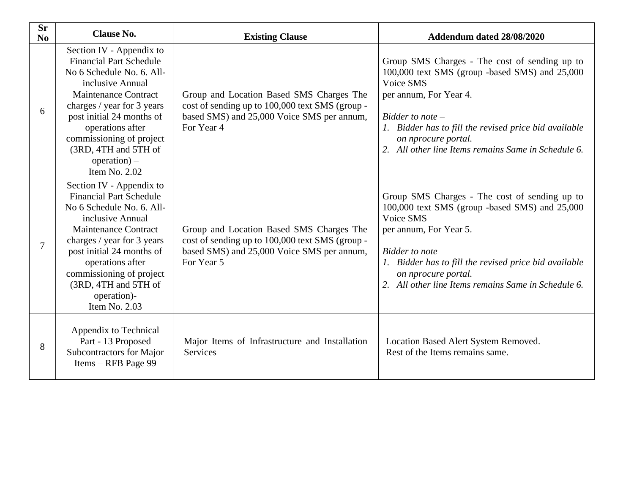| <b>Sr</b><br>N <sub>0</sub> | <b>Clause No.</b>                                                                                                                                                                                                                                                                                                  | <b>Existing Clause</b>                                                                                                                                  | Addendum dated 28/08/2020                                                                                                                                                                                                                                                                           |
|-----------------------------|--------------------------------------------------------------------------------------------------------------------------------------------------------------------------------------------------------------------------------------------------------------------------------------------------------------------|---------------------------------------------------------------------------------------------------------------------------------------------------------|-----------------------------------------------------------------------------------------------------------------------------------------------------------------------------------------------------------------------------------------------------------------------------------------------------|
| 6                           | Section IV - Appendix to<br><b>Financial Part Schedule</b><br>No 6 Schedule No. 6. All-<br>inclusive Annual<br><b>Maintenance Contract</b><br>charges / year for 3 years<br>post initial 24 months of<br>operations after<br>commissioning of project<br>(3RD, 4TH and 5TH of<br>$operation)$ –<br>Item No. $2.02$ | Group and Location Based SMS Charges The<br>cost of sending up to 100,000 text SMS (group -<br>based SMS) and 25,000 Voice SMS per annum,<br>For Year 4 | Group SMS Charges - The cost of sending up to<br>100,000 text SMS (group -based SMS) and 25,000<br>Voice SMS<br>per annum, For Year 4.<br>Bidder to note $-$<br>1. Bidder has to fill the revised price bid available<br>on nprocure portal.<br>2. All other line Items remains Same in Schedule 6. |
| $\tau$                      | Section IV - Appendix to<br><b>Financial Part Schedule</b><br>No 6 Schedule No. 6. All-<br>inclusive Annual<br><b>Maintenance Contract</b><br>charges / year for 3 years<br>post initial 24 months of<br>operations after<br>commissioning of project<br>(3RD, 4TH and 5TH of<br>operation)-<br>Item No. 2.03      | Group and Location Based SMS Charges The<br>cost of sending up to 100,000 text SMS (group -<br>based SMS) and 25,000 Voice SMS per annum,<br>For Year 5 | Group SMS Charges - The cost of sending up to<br>100,000 text SMS (group -based SMS) and 25,000<br>Voice SMS<br>per annum, For Year 5.<br>Bidder to note $-$<br>1. Bidder has to fill the revised price bid available<br>on nprocure portal.<br>2. All other line Items remains Same in Schedule 6. |
| 8                           | Appendix to Technical<br>Part - 13 Proposed<br>Subcontractors for Major<br>Items - RFB Page 99                                                                                                                                                                                                                     | Major Items of Infrastructure and Installation<br><b>Services</b>                                                                                       | Location Based Alert System Removed.<br>Rest of the Items remains same.                                                                                                                                                                                                                             |